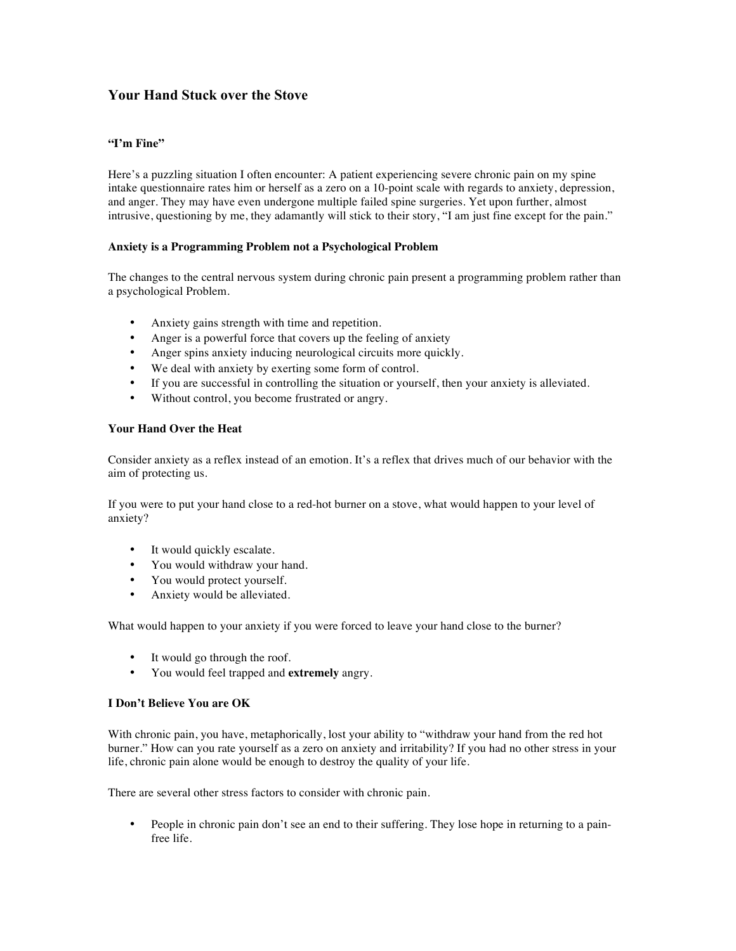# **Your Hand Stuck over the Stove**

## **"I'm Fine"**

Here's a puzzling situation I often encounter: A patient experiencing severe chronic pain on my spine intake questionnaire rates him or herself as a zero on a 10-point scale with regards to anxiety, depression, and anger. They may have even undergone multiple failed spine surgeries. Yet upon further, almost intrusive, questioning by me, they adamantly will stick to their story, "I am just fine except for the pain."

### **Anxiety is a Programming Problem not a Psychological Problem**

The changes to the central nervous system during chronic pain present a programming problem rather than a psychological Problem.

- Anxiety gains strength with time and repetition.
- Anger is a powerful force that covers up the feeling of anxiety
- Anger spins anxiety inducing neurological circuits more quickly.
- We deal with anxiety by exerting some form of control.
- If you are successful in controlling the situation or yourself, then your anxiety is alleviated.
- Without control, you become frustrated or angry.

### **Your Hand Over the Heat**

Consider anxiety as a reflex instead of an emotion. It's a reflex that drives much of our behavior with the aim of protecting us.

If you were to put your hand close to a red-hot burner on a stove, what would happen to your level of anxiety?

- It would quickly escalate.
- You would withdraw your hand.
- You would protect yourself.
- Anxiety would be alleviated.

What would happen to your anxiety if you were forced to leave your hand close to the burner?

- It would go through the roof.
- You would feel trapped and **extremely** angry.

### **I Don't Believe You are OK**

With chronic pain, you have, metaphorically, lost your ability to "withdraw your hand from the red hot burner." How can you rate yourself as a zero on anxiety and irritability? If you had no other stress in your life, chronic pain alone would be enough to destroy the quality of your life.

There are several other stress factors to consider with chronic pain.

• People in chronic pain don't see an end to their suffering. They lose hope in returning to a painfree life.